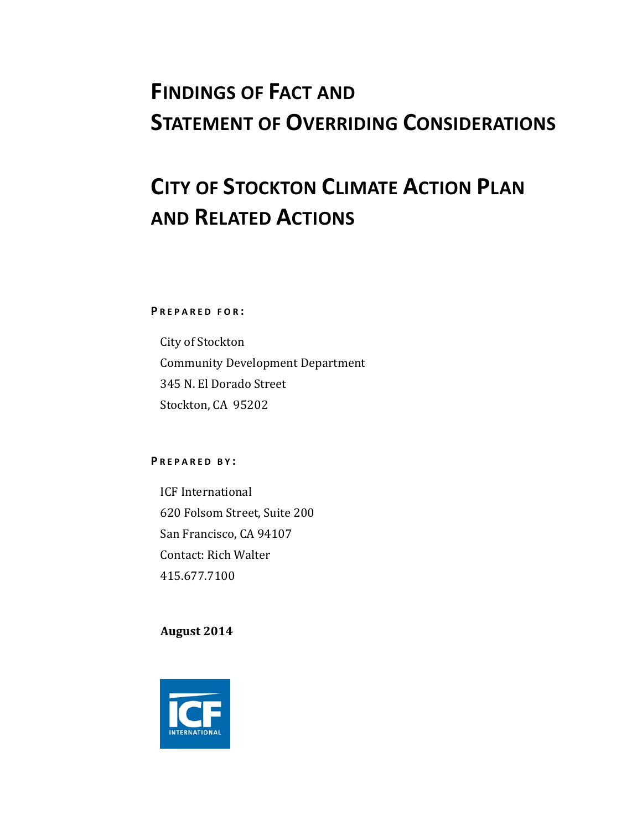# **FINDINGS OF FACT AND STATEMENT OF OVERRIDING CONSIDERATIONS**

# **CITY OF STOCKTON CLIMATE ACTION PLAN AND RELATED ACTIONS**

**P REPARED FOR :**

City of Stockton Community Development Department 345 N. El Dorado Street Stockton, CA 95202

#### **P REPARED B Y :**

ICF International 620 Folsom Street, Suite 200 San Francisco, CA 94107 Contact: Rich Walter 415.677.7100 

**August 2014**

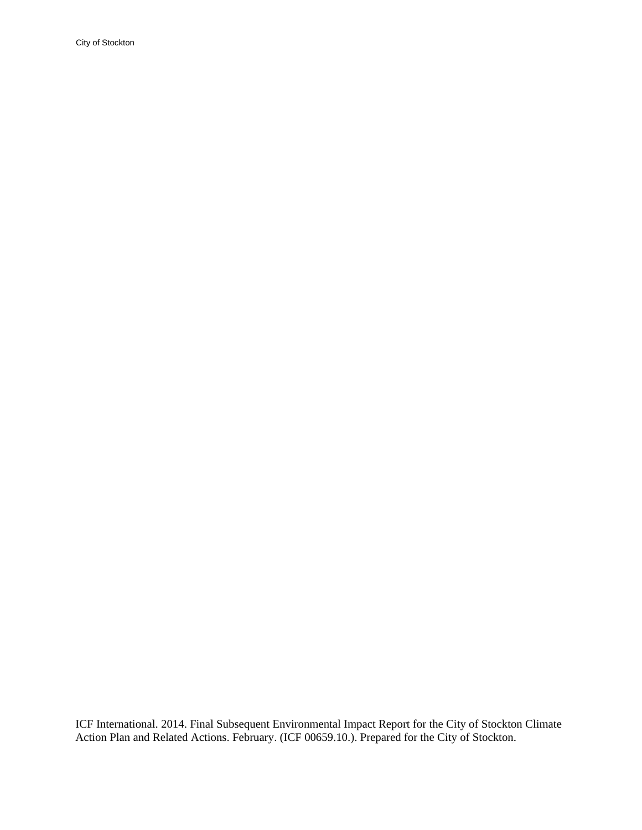City of Stockton

ICF International. 2014. Final Subsequent Environmental Impact Report for the City of Stockton Climate Action Plan and Related Actions. February. (ICF 00659.10.). Prepared for the City of Stockton.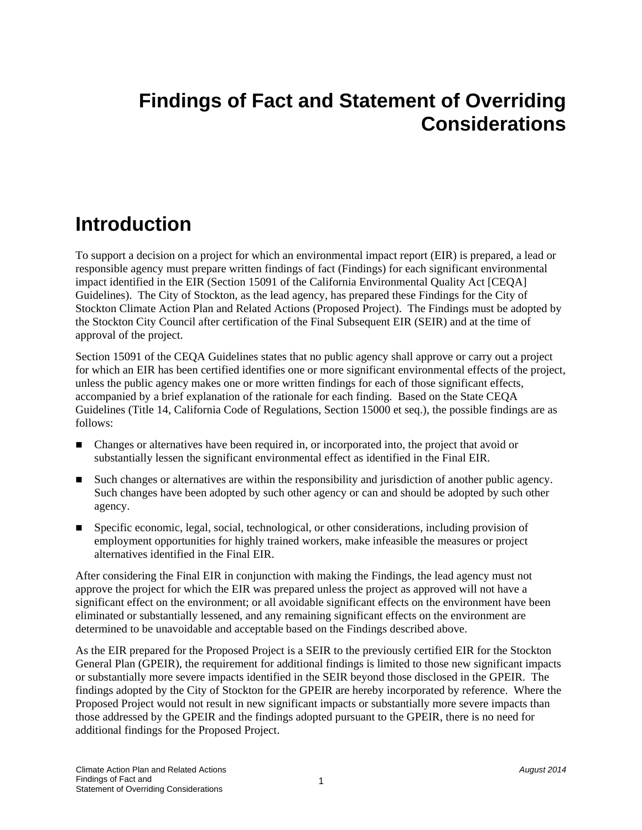# **Findings of Fact and Statement of Overriding Considerations**

# **Introduction**

To support a decision on a project for which an environmental impact report (EIR) is prepared, a lead or responsible agency must prepare written findings of fact (Findings) for each significant environmental impact identified in the EIR (Section 15091 of the California Environmental Quality Act [CEQA] Guidelines). The City of Stockton, as the lead agency, has prepared these Findings for the City of Stockton Climate Action Plan and Related Actions (Proposed Project). The Findings must be adopted by the Stockton City Council after certification of the Final Subsequent EIR (SEIR) and at the time of approval of the project.

Section 15091 of the CEQA Guidelines states that no public agency shall approve or carry out a project for which an EIR has been certified identifies one or more significant environmental effects of the project, unless the public agency makes one or more written findings for each of those significant effects, accompanied by a brief explanation of the rationale for each finding. Based on the State CEQA Guidelines (Title 14, California Code of Regulations, Section 15000 et seq.), the possible findings are as follows:

- Changes or alternatives have been required in, or incorporated into, the project that avoid or substantially lessen the significant environmental effect as identified in the Final EIR.
- Such changes or alternatives are within the responsibility and jurisdiction of another public agency. Such changes have been adopted by such other agency or can and should be adopted by such other agency.
- Specific economic, legal, social, technological, or other considerations, including provision of employment opportunities for highly trained workers, make infeasible the measures or project alternatives identified in the Final EIR.

After considering the Final EIR in conjunction with making the Findings, the lead agency must not approve the project for which the EIR was prepared unless the project as approved will not have a significant effect on the environment; or all avoidable significant effects on the environment have been eliminated or substantially lessened, and any remaining significant effects on the environment are determined to be unavoidable and acceptable based on the Findings described above.

As the EIR prepared for the Proposed Project is a SEIR to the previously certified EIR for the Stockton General Plan (GPEIR), the requirement for additional findings is limited to those new significant impacts or substantially more severe impacts identified in the SEIR beyond those disclosed in the GPEIR. The findings adopted by the City of Stockton for the GPEIR are hereby incorporated by reference. Where the Proposed Project would not result in new significant impacts or substantially more severe impacts than those addressed by the GPEIR and the findings adopted pursuant to the GPEIR, there is no need for additional findings for the Proposed Project.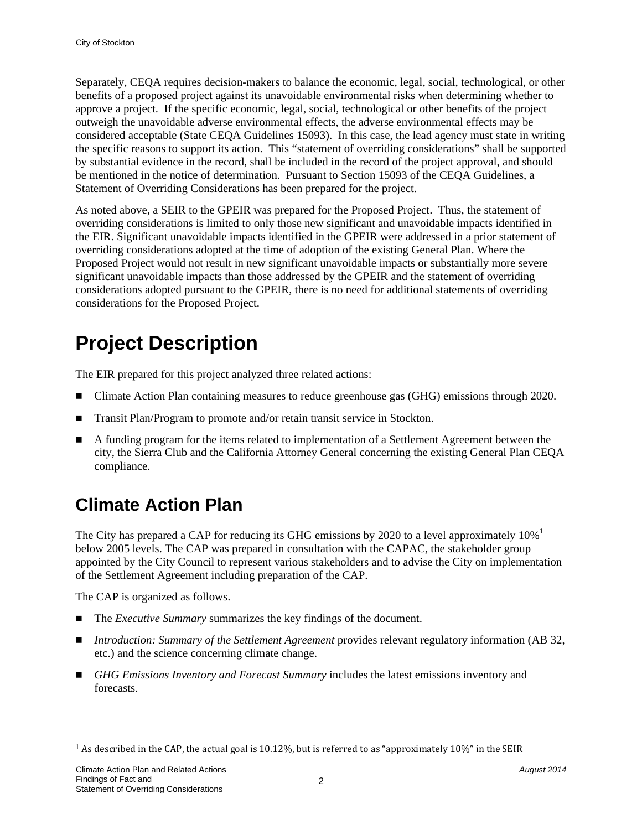Separately, CEQA requires decision-makers to balance the economic, legal, social, technological, or other benefits of a proposed project against its unavoidable environmental risks when determining whether to approve a project. If the specific economic, legal, social, technological or other benefits of the project outweigh the unavoidable adverse environmental effects, the adverse environmental effects may be considered acceptable (State CEQA Guidelines 15093). In this case, the lead agency must state in writing the specific reasons to support its action. This "statement of overriding considerations" shall be supported by substantial evidence in the record, shall be included in the record of the project approval, and should be mentioned in the notice of determination. Pursuant to Section 15093 of the CEQA Guidelines, a Statement of Overriding Considerations has been prepared for the project.

As noted above, a SEIR to the GPEIR was prepared for the Proposed Project. Thus, the statement of overriding considerations is limited to only those new significant and unavoidable impacts identified in the EIR. Significant unavoidable impacts identified in the GPEIR were addressed in a prior statement of overriding considerations adopted at the time of adoption of the existing General Plan. Where the Proposed Project would not result in new significant unavoidable impacts or substantially more severe significant unavoidable impacts than those addressed by the GPEIR and the statement of overriding considerations adopted pursuant to the GPEIR, there is no need for additional statements of overriding considerations for the Proposed Project.

# **Project Description**

The EIR prepared for this project analyzed three related actions:

- Climate Action Plan containing measures to reduce greenhouse gas (GHG) emissions through 2020.
- Transit Plan/Program to promote and/or retain transit service in Stockton.
- A funding program for the items related to implementation of a Settlement Agreement between the city, the Sierra Club and the California Attorney General concerning the existing General Plan CEQA compliance.

# **Climate Action Plan**

The City has prepared a CAP for reducing its GHG emissions by 2020 to a level approximately  $10\%$ <sup>1</sup> below 2005 levels. The CAP was prepared in consultation with the CAPAC, the stakeholder group appointed by the City Council to represent various stakeholders and to advise the City on implementation of the Settlement Agreement including preparation of the CAP.

The CAP is organized as follows.

- The *Executive Summary* summarizes the key findings of the document.
- *Introduction: Summary of the Settlement Agreement* provides relevant regulatory information (AB 32, etc.) and the science concerning climate change.
- *GHG Emissions Inventory and Forecast Summary* includes the latest emissions inventory and forecasts.

l

 $1$  As described in the CAP, the actual goal is 10.12%, but is referred to as "approximately 10%" in the SEIR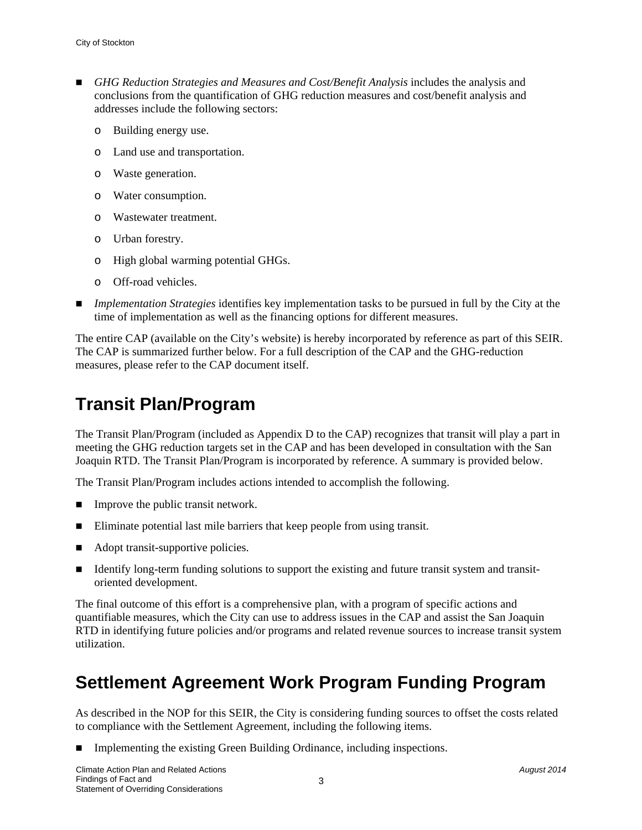- *GHG Reduction Strategies and Measures and Cost/Benefit Analysis* includes the analysis and conclusions from the quantification of GHG reduction measures and cost/benefit analysis and addresses include the following sectors:
	- o Building energy use.
	- o Land use and transportation.
	- o Waste generation.
	- o Water consumption.
	- o Wastewater treatment.
	- o Urban forestry.
	- o High global warming potential GHGs.
	- o Off-road vehicles.
- *Implementation Strategies* identifies key implementation tasks to be pursued in full by the City at the time of implementation as well as the financing options for different measures.

The entire CAP (available on the City's website) is hereby incorporated by reference as part of this SEIR. The CAP is summarized further below. For a full description of the CAP and the GHG-reduction measures, please refer to the CAP document itself.

### **Transit Plan/Program**

The Transit Plan/Program (included as Appendix D to the CAP) recognizes that transit will play a part in meeting the GHG reduction targets set in the CAP and has been developed in consultation with the San Joaquin RTD. The Transit Plan/Program is incorporated by reference. A summary is provided below.

The Transit Plan/Program includes actions intended to accomplish the following.

- $\blacksquare$  Improve the public transit network.
- Eliminate potential last mile barriers that keep people from using transit.
- Adopt transit-supportive policies.
- Identify long-term funding solutions to support the existing and future transit system and transitoriented development.

The final outcome of this effort is a comprehensive plan, with a program of specific actions and quantifiable measures, which the City can use to address issues in the CAP and assist the San Joaquin RTD in identifying future policies and/or programs and related revenue sources to increase transit system utilization.

### **Settlement Agreement Work Program Funding Program**

As described in the NOP for this SEIR, the City is considering funding sources to offset the costs related to compliance with the Settlement Agreement, including the following items.

Implementing the existing Green Building Ordinance, including inspections.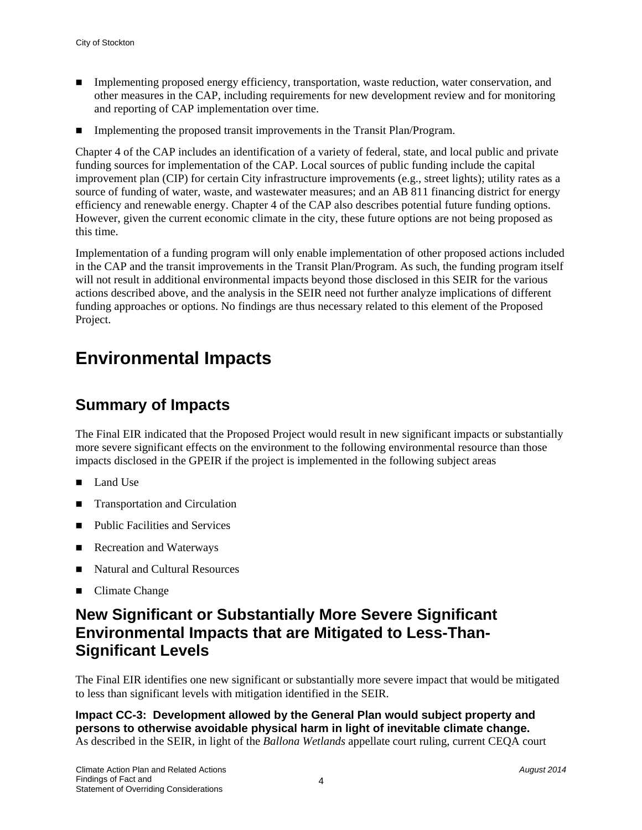- Implementing proposed energy efficiency, transportation, waste reduction, water conservation, and other measures in the CAP, including requirements for new development review and for monitoring and reporting of CAP implementation over time.
- Implementing the proposed transit improvements in the Transit Plan/Program.

Chapter 4 of the CAP includes an identification of a variety of federal, state, and local public and private funding sources for implementation of the CAP. Local sources of public funding include the capital improvement plan (CIP) for certain City infrastructure improvements (e.g., street lights); utility rates as a source of funding of water, waste, and wastewater measures; and an AB 811 financing district for energy efficiency and renewable energy. Chapter 4 of the CAP also describes potential future funding options. However, given the current economic climate in the city, these future options are not being proposed as this time.

Implementation of a funding program will only enable implementation of other proposed actions included in the CAP and the transit improvements in the Transit Plan/Program. As such, the funding program itself will not result in additional environmental impacts beyond those disclosed in this SEIR for the various actions described above, and the analysis in the SEIR need not further analyze implications of different funding approaches or options. No findings are thus necessary related to this element of the Proposed Project.

### **Environmental Impacts**

### **Summary of Impacts**

The Final EIR indicated that the Proposed Project would result in new significant impacts or substantially more severe significant effects on the environment to the following environmental resource than those impacts disclosed in the GPEIR if the project is implemented in the following subject areas

- Land Use
- **Transportation and Circulation**
- Public Facilities and Services
- Recreation and Waterways
- Natural and Cultural Resources
- Climate Change

### **New Significant or Substantially More Severe Significant Environmental Impacts that are Mitigated to Less-Than-Significant Levels**

The Final EIR identifies one new significant or substantially more severe impact that would be mitigated to less than significant levels with mitigation identified in the SEIR.

**Impact CC-3: Development allowed by the General Plan would subject property and persons to otherwise avoidable physical harm in light of inevitable climate change.**  As described in the SEIR, in light of the *Ballona Wetlands* appellate court ruling, current CEQA court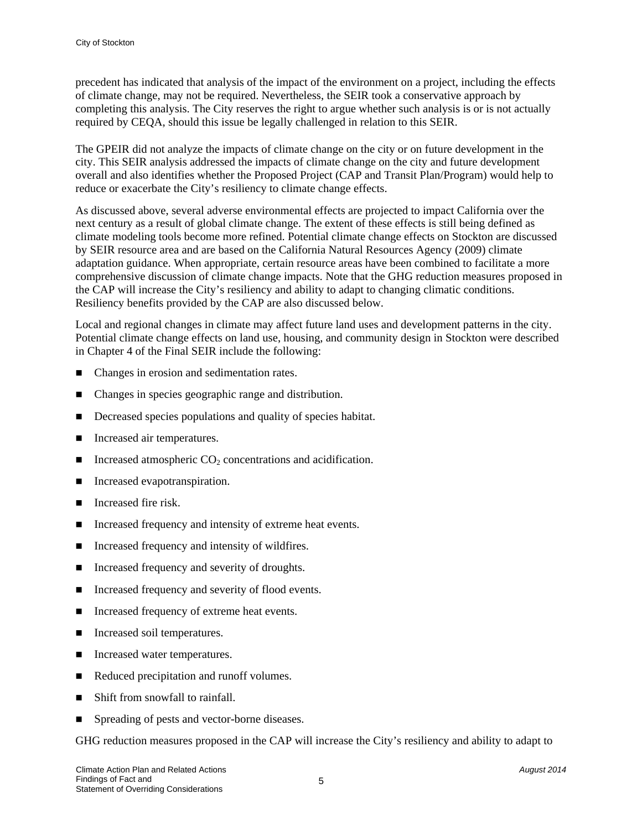precedent has indicated that analysis of the impact of the environment on a project, including the effects of climate change, may not be required. Nevertheless, the SEIR took a conservative approach by completing this analysis. The City reserves the right to argue whether such analysis is or is not actually required by CEQA, should this issue be legally challenged in relation to this SEIR.

The GPEIR did not analyze the impacts of climate change on the city or on future development in the city. This SEIR analysis addressed the impacts of climate change on the city and future development overall and also identifies whether the Proposed Project (CAP and Transit Plan/Program) would help to reduce or exacerbate the City's resiliency to climate change effects.

As discussed above, several adverse environmental effects are projected to impact California over the next century as a result of global climate change. The extent of these effects is still being defined as climate modeling tools become more refined. Potential climate change effects on Stockton are discussed by SEIR resource area and are based on the California Natural Resources Agency (2009) climate adaptation guidance. When appropriate, certain resource areas have been combined to facilitate a more comprehensive discussion of climate change impacts. Note that the GHG reduction measures proposed in the CAP will increase the City's resiliency and ability to adapt to changing climatic conditions. Resiliency benefits provided by the CAP are also discussed below.

Local and regional changes in climate may affect future land uses and development patterns in the city. Potential climate change effects on land use, housing, and community design in Stockton were described in Chapter 4 of the Final SEIR include the following:

- Changes in erosion and sedimentation rates.
- Changes in species geographic range and distribution.
- Decreased species populations and quality of species habitat.
- **Increased air temperatures.**
- Increased atmospheric  $CO<sub>2</sub>$  concentrations and acidification.
- Increased evapotranspiration.
- **IDED** Increased fire risk.
- Increased frequency and intensity of extreme heat events.
- Increased frequency and intensity of wildfires.
- Increased frequency and severity of droughts.
- Increased frequency and severity of flood events.
- Increased frequency of extreme heat events.
- Increased soil temperatures.
- Increased water temperatures.
- Reduced precipitation and runoff volumes.
- Shift from snowfall to rainfall.
- Spreading of pests and vector-borne diseases.

GHG reduction measures proposed in the CAP will increase the City's resiliency and ability to adapt to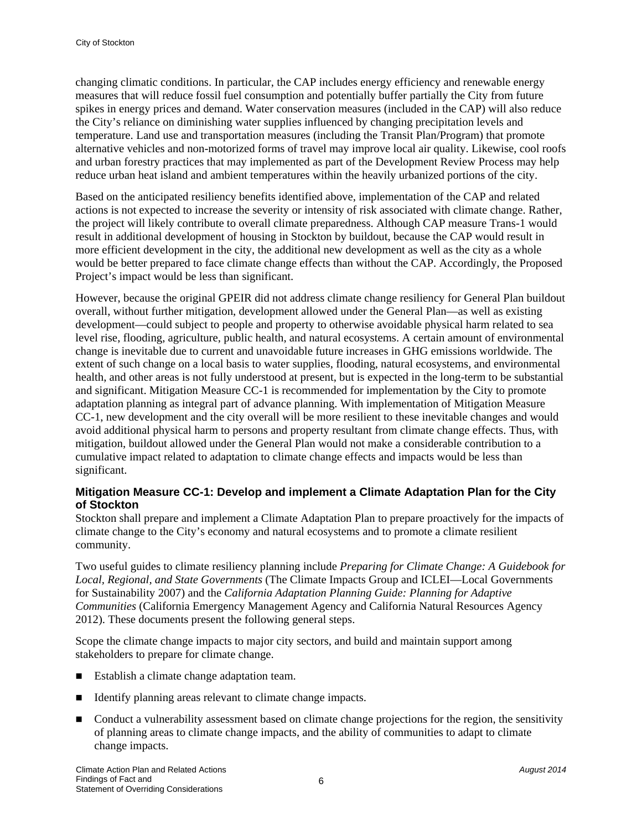changing climatic conditions. In particular, the CAP includes energy efficiency and renewable energy measures that will reduce fossil fuel consumption and potentially buffer partially the City from future spikes in energy prices and demand. Water conservation measures (included in the CAP) will also reduce the City's reliance on diminishing water supplies influenced by changing precipitation levels and temperature. Land use and transportation measures (including the Transit Plan/Program) that promote alternative vehicles and non-motorized forms of travel may improve local air quality. Likewise, cool roofs and urban forestry practices that may implemented as part of the Development Review Process may help reduce urban heat island and ambient temperatures within the heavily urbanized portions of the city.

Based on the anticipated resiliency benefits identified above, implementation of the CAP and related actions is not expected to increase the severity or intensity of risk associated with climate change. Rather, the project will likely contribute to overall climate preparedness. Although CAP measure Trans-1 would result in additional development of housing in Stockton by buildout, because the CAP would result in more efficient development in the city, the additional new development as well as the city as a whole would be better prepared to face climate change effects than without the CAP. Accordingly, the Proposed Project's impact would be less than significant.

However, because the original GPEIR did not address climate change resiliency for General Plan buildout overall, without further mitigation, development allowed under the General Plan—as well as existing development—could subject to people and property to otherwise avoidable physical harm related to sea level rise, flooding, agriculture, public health, and natural ecosystems. A certain amount of environmental change is inevitable due to current and unavoidable future increases in GHG emissions worldwide. The extent of such change on a local basis to water supplies, flooding, natural ecosystems, and environmental health, and other areas is not fully understood at present, but is expected in the long-term to be substantial and significant. Mitigation Measure CC-1 is recommended for implementation by the City to promote adaptation planning as integral part of advance planning. With implementation of Mitigation Measure CC-1, new development and the city overall will be more resilient to these inevitable changes and would avoid additional physical harm to persons and property resultant from climate change effects. Thus, with mitigation, buildout allowed under the General Plan would not make a considerable contribution to a cumulative impact related to adaptation to climate change effects and impacts would be less than significant.

#### **Mitigation Measure CC-1: Develop and implement a Climate Adaptation Plan for the City of Stockton**

Stockton shall prepare and implement a Climate Adaptation Plan to prepare proactively for the impacts of climate change to the City's economy and natural ecosystems and to promote a climate resilient community.

Two useful guides to climate resiliency planning include *Preparing for Climate Change: A Guidebook for Local, Regional, and State Governments* (The Climate Impacts Group and ICLEI—Local Governments for Sustainability 2007) and the *California Adaptation Planning Guide: Planning for Adaptive Communities* (California Emergency Management Agency and California Natural Resources Agency 2012). These documents present the following general steps.

Scope the climate change impacts to major city sectors, and build and maintain support among stakeholders to prepare for climate change.

- Establish a climate change adaptation team.
- Identify planning areas relevant to climate change impacts.
- Conduct a vulnerability assessment based on climate change projections for the region, the sensitivity of planning areas to climate change impacts, and the ability of communities to adapt to climate change impacts.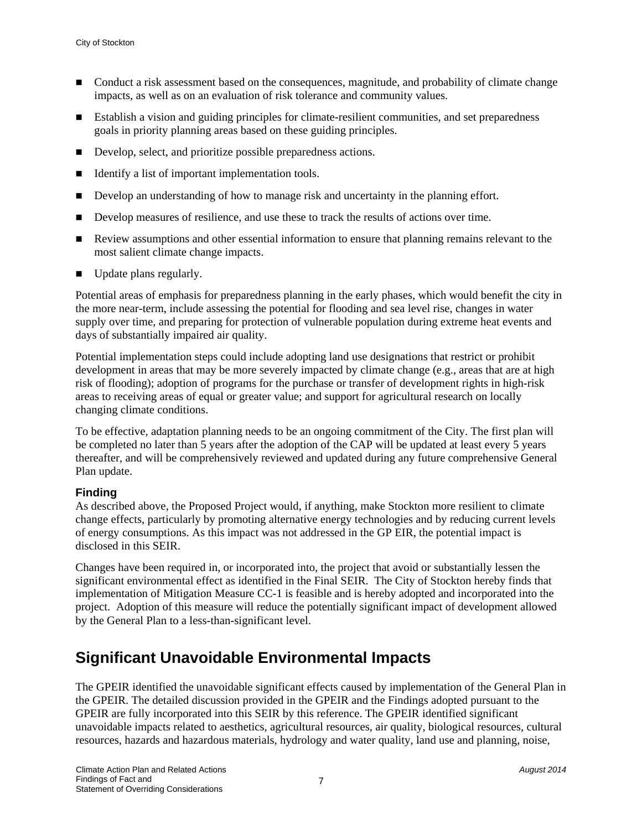- Conduct a risk assessment based on the consequences, magnitude, and probability of climate change impacts, as well as on an evaluation of risk tolerance and community values.
- Establish a vision and guiding principles for climate-resilient communities, and set preparedness goals in priority planning areas based on these guiding principles.
- Develop, select, and prioritize possible preparedness actions.
- Identify a list of important implementation tools.
- Develop an understanding of how to manage risk and uncertainty in the planning effort.
- Develop measures of resilience, and use these to track the results of actions over time.
- Review assumptions and other essential information to ensure that planning remains relevant to the most salient climate change impacts.
- Update plans regularly.

Potential areas of emphasis for preparedness planning in the early phases, which would benefit the city in the more near-term, include assessing the potential for flooding and sea level rise, changes in water supply over time, and preparing for protection of vulnerable population during extreme heat events and days of substantially impaired air quality.

Potential implementation steps could include adopting land use designations that restrict or prohibit development in areas that may be more severely impacted by climate change (e.g., areas that are at high risk of flooding); adoption of programs for the purchase or transfer of development rights in high-risk areas to receiving areas of equal or greater value; and support for agricultural research on locally changing climate conditions.

To be effective, adaptation planning needs to be an ongoing commitment of the City. The first plan will be completed no later than 5 years after the adoption of the CAP will be updated at least every 5 years thereafter, and will be comprehensively reviewed and updated during any future comprehensive General Plan update.

#### **Finding**

As described above, the Proposed Project would, if anything, make Stockton more resilient to climate change effects, particularly by promoting alternative energy technologies and by reducing current levels of energy consumptions. As this impact was not addressed in the GP EIR, the potential impact is disclosed in this SEIR.

Changes have been required in, or incorporated into, the project that avoid or substantially lessen the significant environmental effect as identified in the Final SEIR. The City of Stockton hereby finds that implementation of Mitigation Measure CC-1 is feasible and is hereby adopted and incorporated into the project. Adoption of this measure will reduce the potentially significant impact of development allowed by the General Plan to a less-than-significant level.

### **Significant Unavoidable Environmental Impacts**

The GPEIR identified the unavoidable significant effects caused by implementation of the General Plan in the GPEIR. The detailed discussion provided in the GPEIR and the Findings adopted pursuant to the GPEIR are fully incorporated into this SEIR by this reference. The GPEIR identified significant unavoidable impacts related to aesthetics, agricultural resources, air quality, biological resources, cultural resources, hazards and hazardous materials, hydrology and water quality, land use and planning, noise,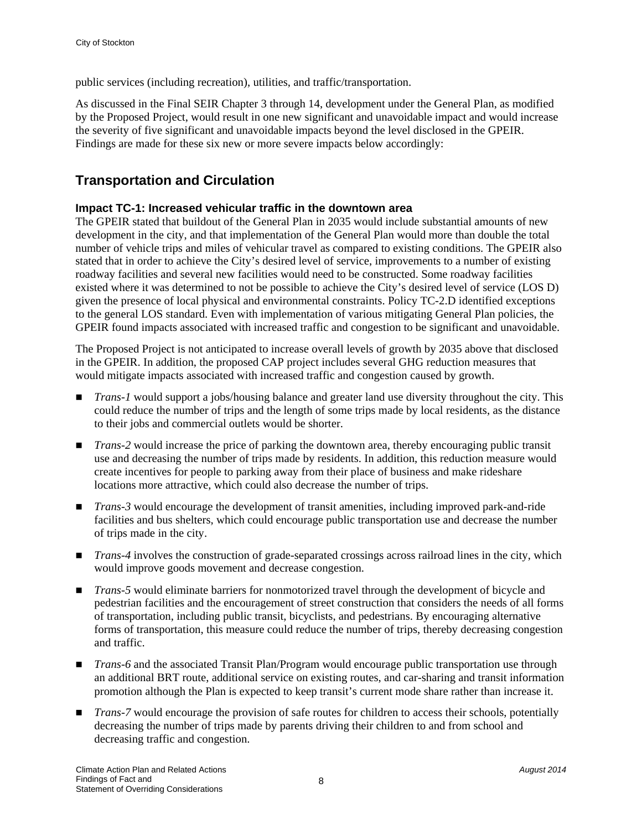public services (including recreation), utilities, and traffic/transportation.

As discussed in the Final SEIR Chapter 3 through 14, development under the General Plan, as modified by the Proposed Project, would result in one new significant and unavoidable impact and would increase the severity of five significant and unavoidable impacts beyond the level disclosed in the GPEIR. Findings are made for these six new or more severe impacts below accordingly:

#### **Transportation and Circulation**

#### **Impact TC-1: Increased vehicular traffic in the downtown area**

The GPEIR stated that buildout of the General Plan in 2035 would include substantial amounts of new development in the city, and that implementation of the General Plan would more than double the total number of vehicle trips and miles of vehicular travel as compared to existing conditions. The GPEIR also stated that in order to achieve the City's desired level of service, improvements to a number of existing roadway facilities and several new facilities would need to be constructed. Some roadway facilities existed where it was determined to not be possible to achieve the City's desired level of service (LOS D) given the presence of local physical and environmental constraints. Policy TC-2.D identified exceptions to the general LOS standard. Even with implementation of various mitigating General Plan policies, the GPEIR found impacts associated with increased traffic and congestion to be significant and unavoidable.

The Proposed Project is not anticipated to increase overall levels of growth by 2035 above that disclosed in the GPEIR. In addition, the proposed CAP project includes several GHG reduction measures that would mitigate impacts associated with increased traffic and congestion caused by growth.

- *Trans-1* would support a jobs/housing balance and greater land use diversity throughout the city. This could reduce the number of trips and the length of some trips made by local residents, as the distance to their jobs and commercial outlets would be shorter.
- *Trans-2* would increase the price of parking the downtown area, thereby encouraging public transit use and decreasing the number of trips made by residents. In addition, this reduction measure would create incentives for people to parking away from their place of business and make rideshare locations more attractive, which could also decrease the number of trips.
- *Trans-3* would encourage the development of transit amenities, including improved park-and-ride facilities and bus shelters, which could encourage public transportation use and decrease the number of trips made in the city.
- *Trans-4* involves the construction of grade-separated crossings across railroad lines in the city, which would improve goods movement and decrease congestion.
- *Trans-5* would eliminate barriers for nonmotorized travel through the development of bicycle and pedestrian facilities and the encouragement of street construction that considers the needs of all forms of transportation, including public transit, bicyclists, and pedestrians. By encouraging alternative forms of transportation, this measure could reduce the number of trips, thereby decreasing congestion and traffic.
- *Trans-6* and the associated Transit Plan/Program would encourage public transportation use through an additional BRT route, additional service on existing routes, and car-sharing and transit information promotion although the Plan is expected to keep transit's current mode share rather than increase it.
- *Trans-7* would encourage the provision of safe routes for children to access their schools, potentially decreasing the number of trips made by parents driving their children to and from school and decreasing traffic and congestion.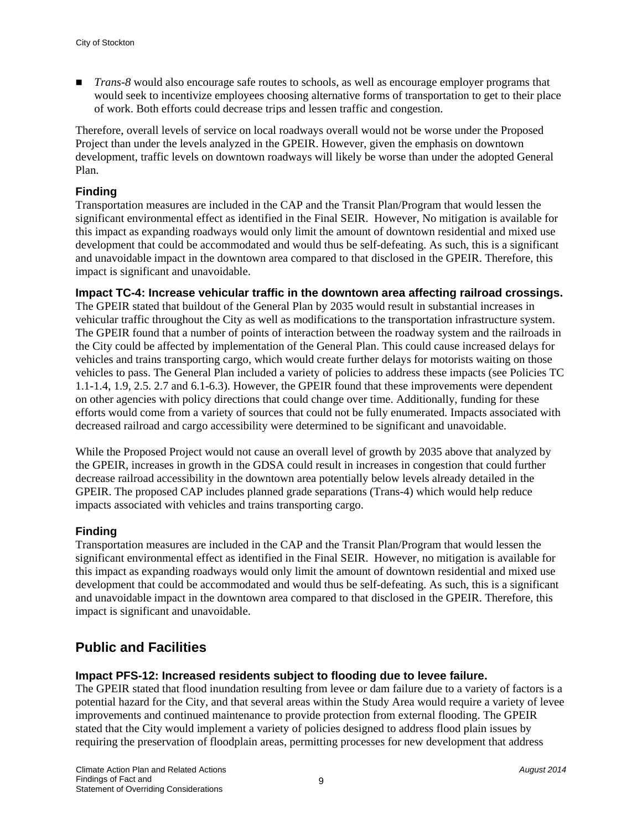■ *Trans-8* would also encourage safe routes to schools, as well as encourage employer programs that would seek to incentivize employees choosing alternative forms of transportation to get to their place of work. Both efforts could decrease trips and lessen traffic and congestion.

Therefore, overall levels of service on local roadways overall would not be worse under the Proposed Project than under the levels analyzed in the GPEIR. However, given the emphasis on downtown development, traffic levels on downtown roadways will likely be worse than under the adopted General Plan.

#### **Finding**

Transportation measures are included in the CAP and the Transit Plan/Program that would lessen the significant environmental effect as identified in the Final SEIR. However, No mitigation is available for this impact as expanding roadways would only limit the amount of downtown residential and mixed use development that could be accommodated and would thus be self-defeating. As such, this is a significant and unavoidable impact in the downtown area compared to that disclosed in the GPEIR. Therefore, this impact is significant and unavoidable.

**Impact TC-4: Increase vehicular traffic in the downtown area affecting railroad crossings.** 

The GPEIR stated that buildout of the General Plan by 2035 would result in substantial increases in vehicular traffic throughout the City as well as modifications to the transportation infrastructure system. The GPEIR found that a number of points of interaction between the roadway system and the railroads in the City could be affected by implementation of the General Plan. This could cause increased delays for vehicles and trains transporting cargo, which would create further delays for motorists waiting on those vehicles to pass. The General Plan included a variety of policies to address these impacts (see Policies TC 1.1-1.4, 1.9, 2.5. 2.7 and 6.1-6.3). However, the GPEIR found that these improvements were dependent on other agencies with policy directions that could change over time. Additionally, funding for these efforts would come from a variety of sources that could not be fully enumerated. Impacts associated with decreased railroad and cargo accessibility were determined to be significant and unavoidable.

While the Proposed Project would not cause an overall level of growth by 2035 above that analyzed by the GPEIR, increases in growth in the GDSA could result in increases in congestion that could further decrease railroad accessibility in the downtown area potentially below levels already detailed in the GPEIR. The proposed CAP includes planned grade separations (Trans-4) which would help reduce impacts associated with vehicles and trains transporting cargo.

#### **Finding**

Transportation measures are included in the CAP and the Transit Plan/Program that would lessen the significant environmental effect as identified in the Final SEIR. However, no mitigation is available for this impact as expanding roadways would only limit the amount of downtown residential and mixed use development that could be accommodated and would thus be self-defeating. As such, this is a significant and unavoidable impact in the downtown area compared to that disclosed in the GPEIR. Therefore, this impact is significant and unavoidable.

#### **Public and Facilities**

#### **Impact PFS-12: Increased residents subject to flooding due to levee failure.**

The GPEIR stated that flood inundation resulting from levee or dam failure due to a variety of factors is a potential hazard for the City, and that several areas within the Study Area would require a variety of levee improvements and continued maintenance to provide protection from external flooding. The GPEIR stated that the City would implement a variety of policies designed to address flood plain issues by requiring the preservation of floodplain areas, permitting processes for new development that address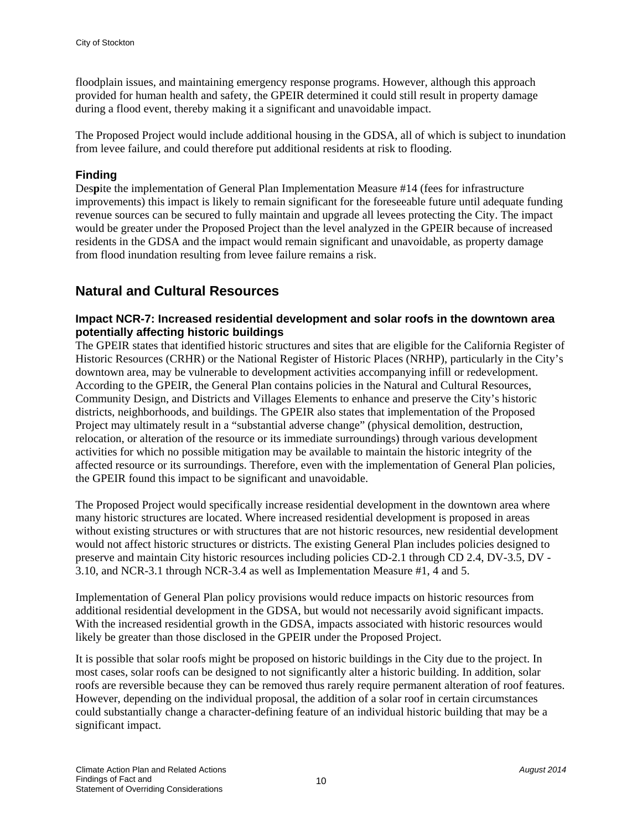floodplain issues, and maintaining emergency response programs. However, although this approach provided for human health and safety, the GPEIR determined it could still result in property damage during a flood event, thereby making it a significant and unavoidable impact.

The Proposed Project would include additional housing in the GDSA, all of which is subject to inundation from levee failure, and could therefore put additional residents at risk to flooding.

#### **Finding**

Des**p**ite the implementation of General Plan Implementation Measure #14 (fees for infrastructure improvements) this impact is likely to remain significant for the foreseeable future until adequate funding revenue sources can be secured to fully maintain and upgrade all levees protecting the City. The impact would be greater under the Proposed Project than the level analyzed in the GPEIR because of increased residents in the GDSA and the impact would remain significant and unavoidable, as property damage from flood inundation resulting from levee failure remains a risk.

#### **Natural and Cultural Resources**

#### **Impact NCR-7: Increased residential development and solar roofs in the downtown area potentially affecting historic buildings**

The GPEIR states that identified historic structures and sites that are eligible for the California Register of Historic Resources (CRHR) or the National Register of Historic Places (NRHP), particularly in the City's downtown area, may be vulnerable to development activities accompanying infill or redevelopment. According to the GPEIR, the General Plan contains policies in the Natural and Cultural Resources, Community Design, and Districts and Villages Elements to enhance and preserve the City's historic districts, neighborhoods, and buildings. The GPEIR also states that implementation of the Proposed Project may ultimately result in a "substantial adverse change" (physical demolition, destruction, relocation, or alteration of the resource or its immediate surroundings) through various development activities for which no possible mitigation may be available to maintain the historic integrity of the affected resource or its surroundings. Therefore, even with the implementation of General Plan policies, the GPEIR found this impact to be significant and unavoidable.

The Proposed Project would specifically increase residential development in the downtown area where many historic structures are located. Where increased residential development is proposed in areas without existing structures or with structures that are not historic resources, new residential development would not affect historic structures or districts. The existing General Plan includes policies designed to preserve and maintain City historic resources including policies CD-2.1 through CD 2.4, DV-3.5, DV - 3.10, and NCR-3.1 through NCR-3.4 as well as Implementation Measure #1, 4 and 5.

Implementation of General Plan policy provisions would reduce impacts on historic resources from additional residential development in the GDSA, but would not necessarily avoid significant impacts. With the increased residential growth in the GDSA, impacts associated with historic resources would likely be greater than those disclosed in the GPEIR under the Proposed Project.

It is possible that solar roofs might be proposed on historic buildings in the City due to the project. In most cases, solar roofs can be designed to not significantly alter a historic building. In addition, solar roofs are reversible because they can be removed thus rarely require permanent alteration of roof features. However, depending on the individual proposal, the addition of a solar roof in certain circumstances could substantially change a character-defining feature of an individual historic building that may be a significant impact.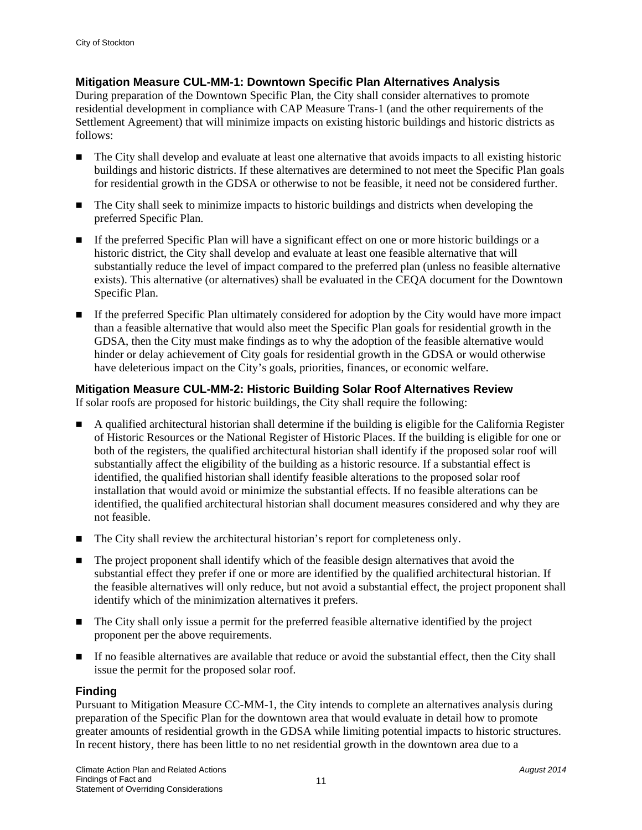#### **Mitigation Measure CUL-MM-1: Downtown Specific Plan Alternatives Analysis**

During preparation of the Downtown Specific Plan, the City shall consider alternatives to promote residential development in compliance with CAP Measure Trans-1 (and the other requirements of the Settlement Agreement) that will minimize impacts on existing historic buildings and historic districts as follows:

- The City shall develop and evaluate at least one alternative that avoids impacts to all existing historic buildings and historic districts. If these alternatives are determined to not meet the Specific Plan goals for residential growth in the GDSA or otherwise to not be feasible, it need not be considered further.
- The City shall seek to minimize impacts to historic buildings and districts when developing the preferred Specific Plan.
- If the preferred Specific Plan will have a significant effect on one or more historic buildings or a historic district, the City shall develop and evaluate at least one feasible alternative that will substantially reduce the level of impact compared to the preferred plan (unless no feasible alternative exists). This alternative (or alternatives) shall be evaluated in the CEQA document for the Downtown Specific Plan.
- If the preferred Specific Plan ultimately considered for adoption by the City would have more impact than a feasible alternative that would also meet the Specific Plan goals for residential growth in the GDSA, then the City must make findings as to why the adoption of the feasible alternative would hinder or delay achievement of City goals for residential growth in the GDSA or would otherwise have deleterious impact on the City's goals, priorities, finances, or economic welfare.

#### **Mitigation Measure CUL-MM-2: Historic Building Solar Roof Alternatives Review**

If solar roofs are proposed for historic buildings, the City shall require the following:

- A qualified architectural historian shall determine if the building is eligible for the California Register of Historic Resources or the National Register of Historic Places. If the building is eligible for one or both of the registers, the qualified architectural historian shall identify if the proposed solar roof will substantially affect the eligibility of the building as a historic resource. If a substantial effect is identified, the qualified historian shall identify feasible alterations to the proposed solar roof installation that would avoid or minimize the substantial effects. If no feasible alterations can be identified, the qualified architectural historian shall document measures considered and why they are not feasible.
- The City shall review the architectural historian's report for completeness only.
- The project proponent shall identify which of the feasible design alternatives that avoid the substantial effect they prefer if one or more are identified by the qualified architectural historian. If the feasible alternatives will only reduce, but not avoid a substantial effect, the project proponent shall identify which of the minimization alternatives it prefers.
- The City shall only issue a permit for the preferred feasible alternative identified by the project proponent per the above requirements.
- If no feasible alternatives are available that reduce or avoid the substantial effect, then the City shall issue the permit for the proposed solar roof.

#### **Finding**

Pursuant to Mitigation Measure CC-MM-1, the City intends to complete an alternatives analysis during preparation of the Specific Plan for the downtown area that would evaluate in detail how to promote greater amounts of residential growth in the GDSA while limiting potential impacts to historic structures. In recent history, there has been little to no net residential growth in the downtown area due to a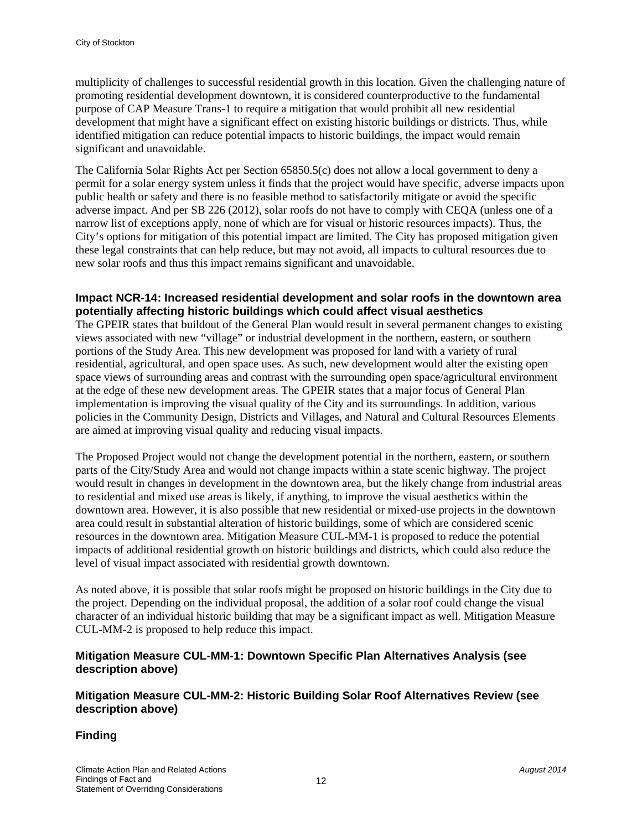multiplicity of challenges to successful residential growth in this location. Given the challenging nature of promoting residential development downtown, it is considered counterproductive to the fundamental purpose of CAP Measure Trans-1 to require a mitigation that would prohibit all new residential development that might have a significant effect on existing historic buildings or districts. Thus, while identified mitigation can reduce potential impacts to historic buildings, the impact would remain significant and unavoidable.

The California Solar Rights Act per Section 65850.5(c) does not allow a local government to deny a permit for a solar energy system unless it finds that the project would have specific, adverse impacts upon public health or safety and there is no feasible method to satisfactorily mitigate or avoid the specific adverse impact. And per SB 226 (2012), solar roofs do not have to comply with CEQA (unless one of a narrow list of exceptions apply, none of which are for visual or historic resources impacts). Thus, the City's options for mitigation of this potential impact are limited. The City has proposed mitigation given these legal constraints that can help reduce, but may not avoid, all impacts to cultural resources due to new solar roofs and thus this impact remains significant and unavoidable.

#### **Impact NCR-14: Increased residential development and solar roofs in the downtown area potentially affecting historic buildings which could affect visual aesthetics**

The GPEIR states that buildout of the General Plan would result in several permanent changes to existing views associated with new "village" or industrial development in the northern, eastern, or southern portions of the Study Area. This new development was proposed for land with a variety of rural residential, agricultural, and open space uses. As such, new development would alter the existing open space views of surrounding areas and contrast with the surrounding open space/agricultural environment at the edge of these new development areas. The GPEIR states that a major focus of General Plan implementation is improving the visual quality of the City and its surroundings. In addition, various policies in the Community Design, Districts and Villages, and Natural and Cultural Resources Elements are aimed at improving visual quality and reducing visual impacts.

The Proposed Project would not change the development potential in the northern, eastern, or southern parts of the City/Study Area and would not change impacts within a state scenic highway. The project would result in changes in development in the downtown area, but the likely change from industrial areas to residential and mixed use areas is likely, if anything, to improve the visual aesthetics within the downtown area. However, it is also possible that new residential or mixed-use projects in the downtown area could result in substantial alteration of historic buildings, some of which are considered scenic resources in the downtown area. Mitigation Measure CUL-MM-1 is proposed to reduce the potential impacts of additional residential growth on historic buildings and districts, which could also reduce the level of visual impact associated with residential growth downtown.

As noted above, it is possible that solar roofs might be proposed on historic buildings in the City due to the project. Depending on the individual proposal, the addition of a solar roof could change the visual character of an individual historic building that may be a significant impact as well. Mitigation Measure CUL-MM-2 is proposed to help reduce this impact.

#### **Mitigation Measure CUL-MM-1: Downtown Specific Plan Alternatives Analysis (see description above)**

#### **Mitigation Measure CUL-MM-2: Historic Building Solar Roof Alternatives Review (see description above)**

#### **Finding**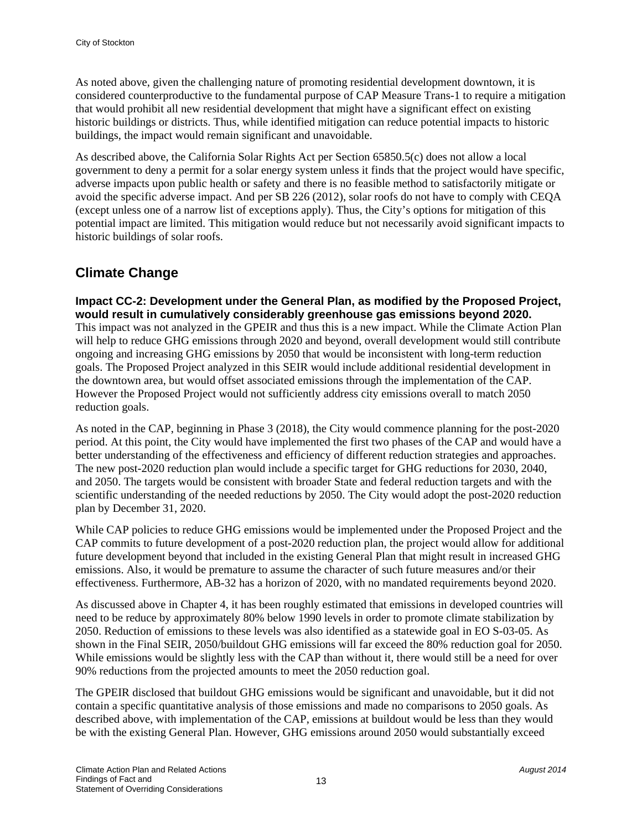As noted above, given the challenging nature of promoting residential development downtown, it is considered counterproductive to the fundamental purpose of CAP Measure Trans-1 to require a mitigation that would prohibit all new residential development that might have a significant effect on existing historic buildings or districts. Thus, while identified mitigation can reduce potential impacts to historic buildings, the impact would remain significant and unavoidable.

As described above, the California Solar Rights Act per Section 65850.5(c) does not allow a local government to deny a permit for a solar energy system unless it finds that the project would have specific, adverse impacts upon public health or safety and there is no feasible method to satisfactorily mitigate or avoid the specific adverse impact. And per SB 226 (2012), solar roofs do not have to comply with CEQA (except unless one of a narrow list of exceptions apply). Thus, the City's options for mitigation of this potential impact are limited. This mitigation would reduce but not necessarily avoid significant impacts to historic buildings of solar roofs.

#### **Climate Change**

**Impact CC-2: Development under the General Plan, as modified by the Proposed Project, would result in cumulatively considerably greenhouse gas emissions beyond 2020.** 

This impact was not analyzed in the GPEIR and thus this is a new impact. While the Climate Action Plan will help to reduce GHG emissions through 2020 and beyond, overall development would still contribute ongoing and increasing GHG emissions by 2050 that would be inconsistent with long-term reduction goals. The Proposed Project analyzed in this SEIR would include additional residential development in the downtown area, but would offset associated emissions through the implementation of the CAP. However the Proposed Project would not sufficiently address city emissions overall to match 2050 reduction goals.

As noted in the CAP, beginning in Phase 3 (2018), the City would commence planning for the post-2020 period. At this point, the City would have implemented the first two phases of the CAP and would have a better understanding of the effectiveness and efficiency of different reduction strategies and approaches. The new post-2020 reduction plan would include a specific target for GHG reductions for 2030, 2040, and 2050. The targets would be consistent with broader State and federal reduction targets and with the scientific understanding of the needed reductions by 2050. The City would adopt the post-2020 reduction plan by December 31, 2020.

While CAP policies to reduce GHG emissions would be implemented under the Proposed Project and the CAP commits to future development of a post-2020 reduction plan, the project would allow for additional future development beyond that included in the existing General Plan that might result in increased GHG emissions. Also, it would be premature to assume the character of such future measures and/or their effectiveness. Furthermore, AB-32 has a horizon of 2020, with no mandated requirements beyond 2020.

As discussed above in Chapter 4, it has been roughly estimated that emissions in developed countries will need to be reduce by approximately 80% below 1990 levels in order to promote climate stabilization by 2050. Reduction of emissions to these levels was also identified as a statewide goal in EO S-03-05. As shown in the Final SEIR, 2050/buildout GHG emissions will far exceed the 80% reduction goal for 2050. While emissions would be slightly less with the CAP than without it, there would still be a need for over 90% reductions from the projected amounts to meet the 2050 reduction goal.

The GPEIR disclosed that buildout GHG emissions would be significant and unavoidable, but it did not contain a specific quantitative analysis of those emissions and made no comparisons to 2050 goals. As described above, with implementation of the CAP, emissions at buildout would be less than they would be with the existing General Plan. However, GHG emissions around 2050 would substantially exceed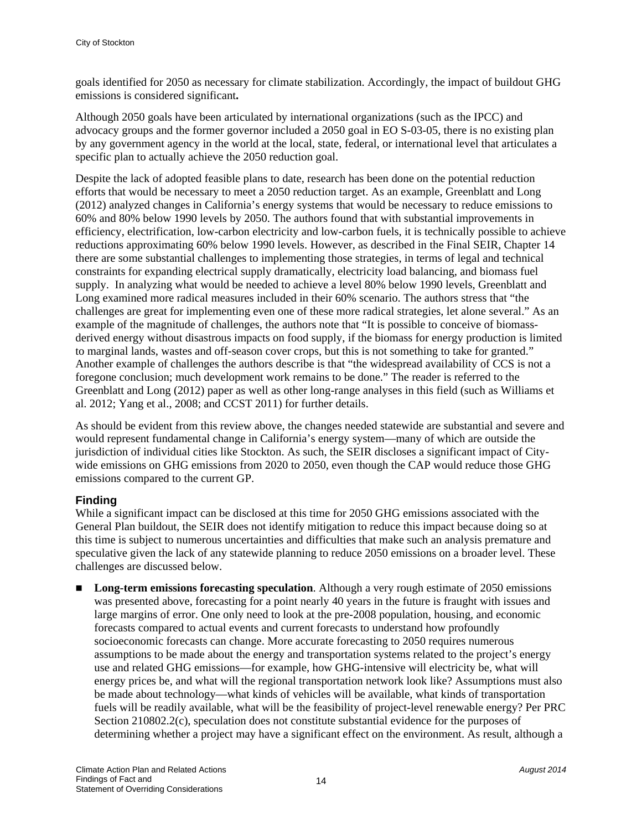goals identified for 2050 as necessary for climate stabilization. Accordingly, the impact of buildout GHG emissions is considered significant**.**

Although 2050 goals have been articulated by international organizations (such as the IPCC) and advocacy groups and the former governor included a 2050 goal in EO S-03-05, there is no existing plan by any government agency in the world at the local, state, federal, or international level that articulates a specific plan to actually achieve the 2050 reduction goal.

Despite the lack of adopted feasible plans to date, research has been done on the potential reduction efforts that would be necessary to meet a 2050 reduction target. As an example, Greenblatt and Long (2012) analyzed changes in California's energy systems that would be necessary to reduce emissions to 60% and 80% below 1990 levels by 2050. The authors found that with substantial improvements in efficiency, electrification, low-carbon electricity and low-carbon fuels, it is technically possible to achieve reductions approximating 60% below 1990 levels. However, as described in the Final SEIR, Chapter 14 there are some substantial challenges to implementing those strategies, in terms of legal and technical constraints for expanding electrical supply dramatically, electricity load balancing, and biomass fuel supply. In analyzing what would be needed to achieve a level 80% below 1990 levels, Greenblatt and Long examined more radical measures included in their 60% scenario. The authors stress that "the challenges are great for implementing even one of these more radical strategies, let alone several." As an example of the magnitude of challenges, the authors note that "It is possible to conceive of biomassderived energy without disastrous impacts on food supply, if the biomass for energy production is limited to marginal lands, wastes and off-season cover crops, but this is not something to take for granted." Another example of challenges the authors describe is that "the widespread availability of CCS is not a foregone conclusion; much development work remains to be done." The reader is referred to the Greenblatt and Long (2012) paper as well as other long-range analyses in this field (such as Williams et al. 2012; Yang et al., 2008; and CCST 2011) for further details.

As should be evident from this review above, the changes needed statewide are substantial and severe and would represent fundamental change in California's energy system—many of which are outside the jurisdiction of individual cities like Stockton. As such, the SEIR discloses a significant impact of Citywide emissions on GHG emissions from 2020 to 2050, even though the CAP would reduce those GHG emissions compared to the current GP.

#### **Finding**

While a significant impact can be disclosed at this time for 2050 GHG emissions associated with the General Plan buildout, the SEIR does not identify mitigation to reduce this impact because doing so at this time is subject to numerous uncertainties and difficulties that make such an analysis premature and speculative given the lack of any statewide planning to reduce 2050 emissions on a broader level. These challenges are discussed below.

**Long-term emissions forecasting speculation**. Although a very rough estimate of 2050 emissions was presented above, forecasting for a point nearly 40 years in the future is fraught with issues and large margins of error. One only need to look at the pre-2008 population, housing, and economic forecasts compared to actual events and current forecasts to understand how profoundly socioeconomic forecasts can change. More accurate forecasting to 2050 requires numerous assumptions to be made about the energy and transportation systems related to the project's energy use and related GHG emissions—for example, how GHG-intensive will electricity be, what will energy prices be, and what will the regional transportation network look like? Assumptions must also be made about technology—what kinds of vehicles will be available, what kinds of transportation fuels will be readily available, what will be the feasibility of project-level renewable energy? Per PRC Section 210802.2(c), speculation does not constitute substantial evidence for the purposes of determining whether a project may have a significant effect on the environment. As result, although a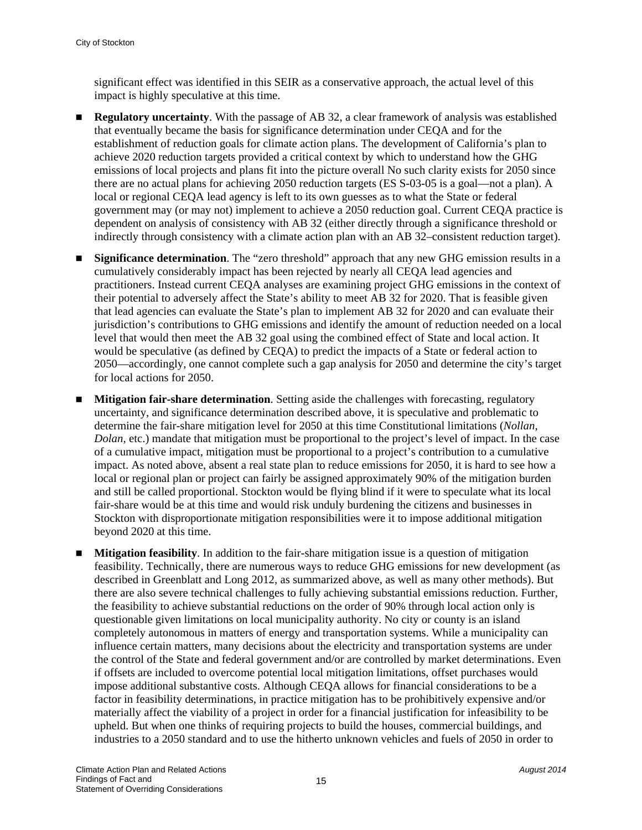significant effect was identified in this SEIR as a conservative approach, the actual level of this impact is highly speculative at this time.

- **Regulatory uncertainty.** With the passage of AB 32, a clear framework of analysis was established that eventually became the basis for significance determination under CEQA and for the establishment of reduction goals for climate action plans. The development of California's plan to achieve 2020 reduction targets provided a critical context by which to understand how the GHG emissions of local projects and plans fit into the picture overall No such clarity exists for 2050 since there are no actual plans for achieving 2050 reduction targets (ES S-03-05 is a goal—not a plan). A local or regional CEQA lead agency is left to its own guesses as to what the State or federal government may (or may not) implement to achieve a 2050 reduction goal. Current CEQA practice is dependent on analysis of consistency with AB 32 (either directly through a significance threshold or indirectly through consistency with a climate action plan with an AB 32–consistent reduction target).
- **Significance determination**. The "zero threshold" approach that any new GHG emission results in a cumulatively considerably impact has been rejected by nearly all CEQA lead agencies and practitioners. Instead current CEQA analyses are examining project GHG emissions in the context of their potential to adversely affect the State's ability to meet AB 32 for 2020. That is feasible given that lead agencies can evaluate the State's plan to implement AB 32 for 2020 and can evaluate their jurisdiction's contributions to GHG emissions and identify the amount of reduction needed on a local level that would then meet the AB 32 goal using the combined effect of State and local action. It would be speculative (as defined by CEQA) to predict the impacts of a State or federal action to 2050—accordingly, one cannot complete such a gap analysis for 2050 and determine the city's target for local actions for 2050.
- **Mitigation fair-share determination**. Setting aside the challenges with forecasting, regulatory uncertainty, and significance determination described above, it is speculative and problematic to determine the fair-share mitigation level for 2050 at this time Constitutional limitations (*Nollan*, *Dolan*, etc.) mandate that mitigation must be proportional to the project's level of impact. In the case of a cumulative impact, mitigation must be proportional to a project's contribution to a cumulative impact. As noted above, absent a real state plan to reduce emissions for 2050, it is hard to see how a local or regional plan or project can fairly be assigned approximately 90% of the mitigation burden and still be called proportional. Stockton would be flying blind if it were to speculate what its local fair-share would be at this time and would risk unduly burdening the citizens and businesses in Stockton with disproportionate mitigation responsibilities were it to impose additional mitigation beyond 2020 at this time.
- **Mitigation feasibility**. In addition to the fair-share mitigation issue is a question of mitigation feasibility. Technically, there are numerous ways to reduce GHG emissions for new development (as described in Greenblatt and Long 2012, as summarized above, as well as many other methods). But there are also severe technical challenges to fully achieving substantial emissions reduction. Further, the feasibility to achieve substantial reductions on the order of 90% through local action only is questionable given limitations on local municipality authority. No city or county is an island completely autonomous in matters of energy and transportation systems. While a municipality can influence certain matters, many decisions about the electricity and transportation systems are under the control of the State and federal government and/or are controlled by market determinations. Even if offsets are included to overcome potential local mitigation limitations, offset purchases would impose additional substantive costs. Although CEQA allows for financial considerations to be a factor in feasibility determinations, in practice mitigation has to be prohibitively expensive and/or materially affect the viability of a project in order for a financial justification for infeasibility to be upheld. But when one thinks of requiring projects to build the houses, commercial buildings, and industries to a 2050 standard and to use the hitherto unknown vehicles and fuels of 2050 in order to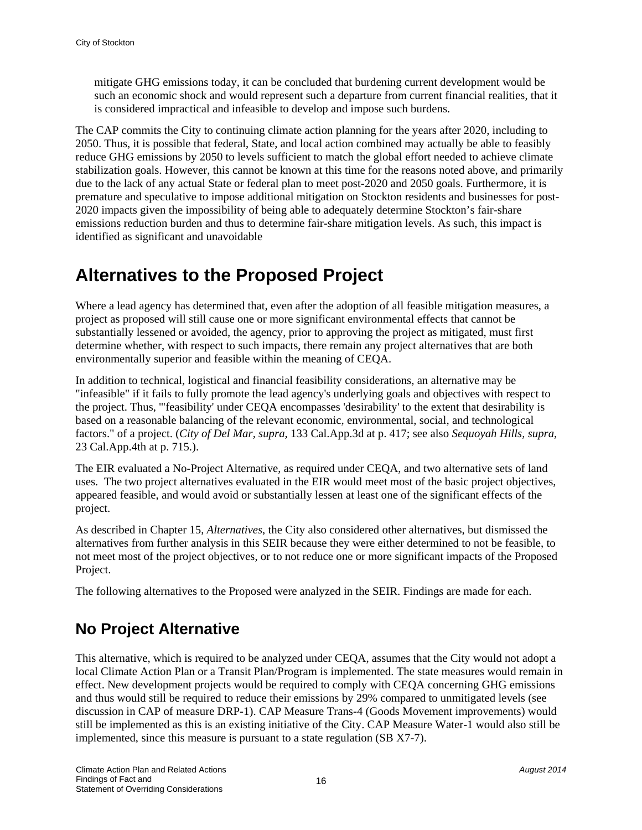mitigate GHG emissions today, it can be concluded that burdening current development would be such an economic shock and would represent such a departure from current financial realities, that it is considered impractical and infeasible to develop and impose such burdens.

The CAP commits the City to continuing climate action planning for the years after 2020, including to 2050. Thus, it is possible that federal, State, and local action combined may actually be able to feasibly reduce GHG emissions by 2050 to levels sufficient to match the global effort needed to achieve climate stabilization goals. However, this cannot be known at this time for the reasons noted above, and primarily due to the lack of any actual State or federal plan to meet post-2020 and 2050 goals. Furthermore, it is premature and speculative to impose additional mitigation on Stockton residents and businesses for post-2020 impacts given the impossibility of being able to adequately determine Stockton's fair-share emissions reduction burden and thus to determine fair-share mitigation levels. As such, this impact is identified as significant and unavoidable

### **Alternatives to the Proposed Project**

Where a lead agency has determined that, even after the adoption of all feasible mitigation measures, a project as proposed will still cause one or more significant environmental effects that cannot be substantially lessened or avoided, the agency, prior to approving the project as mitigated, must first determine whether, with respect to such impacts, there remain any project alternatives that are both environmentally superior and feasible within the meaning of CEQA.

In addition to technical, logistical and financial feasibility considerations, an alternative may be "infeasible" if it fails to fully promote the lead agency's underlying goals and objectives with respect to the project. Thus, '"feasibility' under CEQA encompasses 'desirability' to the extent that desirability is based on a reasonable balancing of the relevant economic, environmental, social, and technological factors." of a project. (*City of Del Mar, supra*, 133 Cal.App.3d at p. 417; see also *Sequoyah Hills, supra*, 23 Cal.App.4th at p. 715.).

The EIR evaluated a No-Project Alternative, as required under CEQA, and two alternative sets of land uses. The two project alternatives evaluated in the EIR would meet most of the basic project objectives, appeared feasible, and would avoid or substantially lessen at least one of the significant effects of the project.

As described in Chapter 15, *Alternatives*, the City also considered other alternatives, but dismissed the alternatives from further analysis in this SEIR because they were either determined to not be feasible, to not meet most of the project objectives, or to not reduce one or more significant impacts of the Proposed Project.

The following alternatives to the Proposed were analyzed in the SEIR. Findings are made for each.

### **No Project Alternative**

This alternative, which is required to be analyzed under CEQA, assumes that the City would not adopt a local Climate Action Plan or a Transit Plan/Program is implemented. The state measures would remain in effect. New development projects would be required to comply with CEQA concerning GHG emissions and thus would still be required to reduce their emissions by 29% compared to unmitigated levels (see discussion in CAP of measure DRP-1). CAP Measure Trans-4 (Goods Movement improvements) would still be implemented as this is an existing initiative of the City. CAP Measure Water-1 would also still be implemented, since this measure is pursuant to a state regulation (SB X7-7).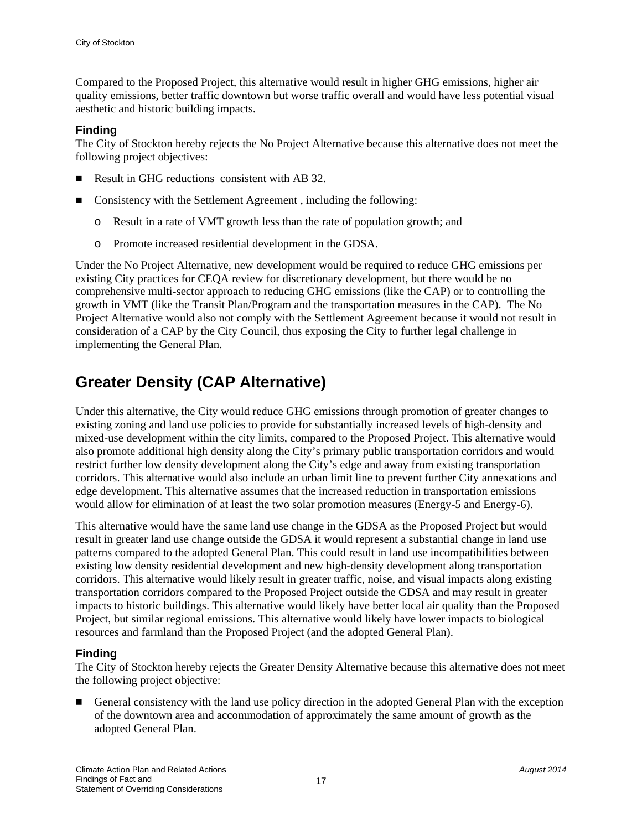Compared to the Proposed Project, this alternative would result in higher GHG emissions, higher air quality emissions, better traffic downtown but worse traffic overall and would have less potential visual aesthetic and historic building impacts.

#### **Finding**

The City of Stockton hereby rejects the No Project Alternative because this alternative does not meet the following project objectives:

- Result in GHG reductions consistent with AB 32.
- Consistency with the Settlement Agreement, including the following:
	- o Result in a rate of VMT growth less than the rate of population growth; and
	- o Promote increased residential development in the GDSA.

Under the No Project Alternative, new development would be required to reduce GHG emissions per existing City practices for CEQA review for discretionary development, but there would be no comprehensive multi-sector approach to reducing GHG emissions (like the CAP) or to controlling the growth in VMT (like the Transit Plan/Program and the transportation measures in the CAP). The No Project Alternative would also not comply with the Settlement Agreement because it would not result in consideration of a CAP by the City Council, thus exposing the City to further legal challenge in implementing the General Plan.

### **Greater Density (CAP Alternative)**

Under this alternative, the City would reduce GHG emissions through promotion of greater changes to existing zoning and land use policies to provide for substantially increased levels of high-density and mixed-use development within the city limits, compared to the Proposed Project. This alternative would also promote additional high density along the City's primary public transportation corridors and would restrict further low density development along the City's edge and away from existing transportation corridors. This alternative would also include an urban limit line to prevent further City annexations and edge development. This alternative assumes that the increased reduction in transportation emissions would allow for elimination of at least the two solar promotion measures (Energy-5 and Energy-6).

This alternative would have the same land use change in the GDSA as the Proposed Project but would result in greater land use change outside the GDSA it would represent a substantial change in land use patterns compared to the adopted General Plan. This could result in land use incompatibilities between existing low density residential development and new high-density development along transportation corridors. This alternative would likely result in greater traffic, noise, and visual impacts along existing transportation corridors compared to the Proposed Project outside the GDSA and may result in greater impacts to historic buildings. This alternative would likely have better local air quality than the Proposed Project, but similar regional emissions. This alternative would likely have lower impacts to biological resources and farmland than the Proposed Project (and the adopted General Plan).

#### **Finding**

The City of Stockton hereby rejects the Greater Density Alternative because this alternative does not meet the following project objective:

General consistency with the land use policy direction in the adopted General Plan with the exception of the downtown area and accommodation of approximately the same amount of growth as the adopted General Plan.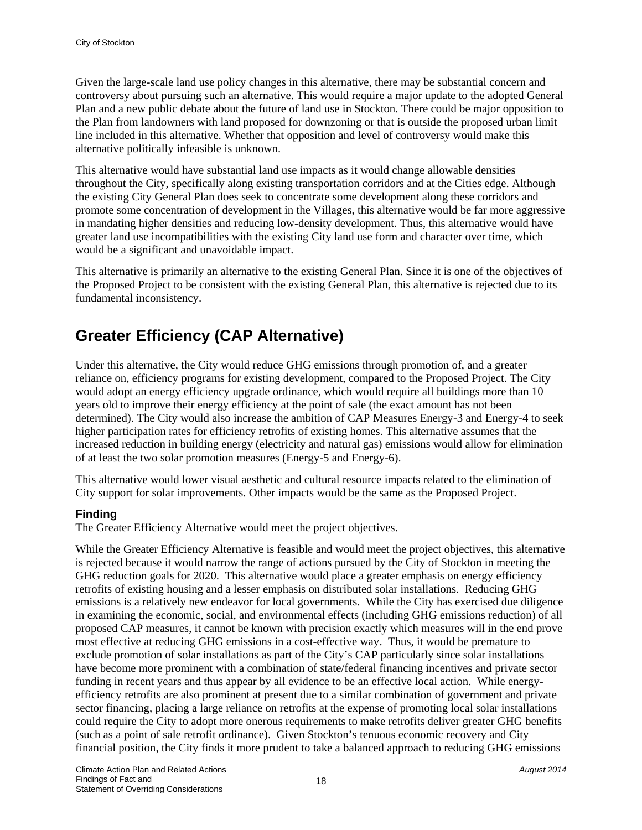Given the large-scale land use policy changes in this alternative, there may be substantial concern and controversy about pursuing such an alternative. This would require a major update to the adopted General Plan and a new public debate about the future of land use in Stockton. There could be major opposition to the Plan from landowners with land proposed for downzoning or that is outside the proposed urban limit line included in this alternative. Whether that opposition and level of controversy would make this alternative politically infeasible is unknown.

This alternative would have substantial land use impacts as it would change allowable densities throughout the City, specifically along existing transportation corridors and at the Cities edge. Although the existing City General Plan does seek to concentrate some development along these corridors and promote some concentration of development in the Villages, this alternative would be far more aggressive in mandating higher densities and reducing low-density development. Thus, this alternative would have greater land use incompatibilities with the existing City land use form and character over time, which would be a significant and unavoidable impact.

This alternative is primarily an alternative to the existing General Plan. Since it is one of the objectives of the Proposed Project to be consistent with the existing General Plan, this alternative is rejected due to its fundamental inconsistency.

### **Greater Efficiency (CAP Alternative)**

Under this alternative, the City would reduce GHG emissions through promotion of, and a greater reliance on, efficiency programs for existing development, compared to the Proposed Project. The City would adopt an energy efficiency upgrade ordinance, which would require all buildings more than 10 years old to improve their energy efficiency at the point of sale (the exact amount has not been determined). The City would also increase the ambition of CAP Measures Energy-3 and Energy-4 to seek higher participation rates for efficiency retrofits of existing homes. This alternative assumes that the increased reduction in building energy (electricity and natural gas) emissions would allow for elimination of at least the two solar promotion measures (Energy-5 and Energy-6).

This alternative would lower visual aesthetic and cultural resource impacts related to the elimination of City support for solar improvements. Other impacts would be the same as the Proposed Project.

#### **Finding**

The Greater Efficiency Alternative would meet the project objectives.

While the Greater Efficiency Alternative is feasible and would meet the project objectives, this alternative is rejected because it would narrow the range of actions pursued by the City of Stockton in meeting the GHG reduction goals for 2020. This alternative would place a greater emphasis on energy efficiency retrofits of existing housing and a lesser emphasis on distributed solar installations. Reducing GHG emissions is a relatively new endeavor for local governments. While the City has exercised due diligence in examining the economic, social, and environmental effects (including GHG emissions reduction) of all proposed CAP measures, it cannot be known with precision exactly which measures will in the end prove most effective at reducing GHG emissions in a cost-effective way. Thus, it would be premature to exclude promotion of solar installations as part of the City's CAP particularly since solar installations have become more prominent with a combination of state/federal financing incentives and private sector funding in recent years and thus appear by all evidence to be an effective local action. While energyefficiency retrofits are also prominent at present due to a similar combination of government and private sector financing, placing a large reliance on retrofits at the expense of promoting local solar installations could require the City to adopt more onerous requirements to make retrofits deliver greater GHG benefits (such as a point of sale retrofit ordinance). Given Stockton's tenuous economic recovery and City financial position, the City finds it more prudent to take a balanced approach to reducing GHG emissions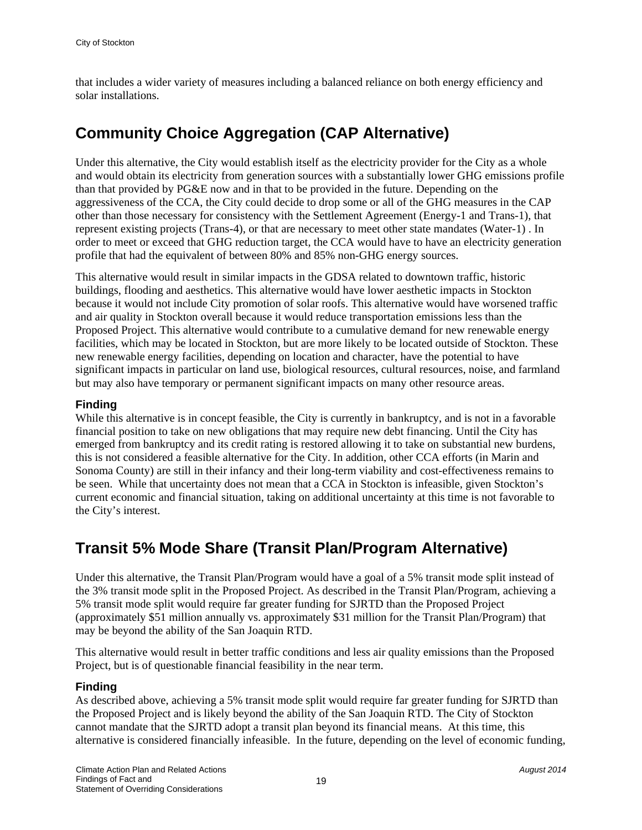that includes a wider variety of measures including a balanced reliance on both energy efficiency and solar installations.

### **Community Choice Aggregation (CAP Alternative)**

Under this alternative, the City would establish itself as the electricity provider for the City as a whole and would obtain its electricity from generation sources with a substantially lower GHG emissions profile than that provided by PG&E now and in that to be provided in the future. Depending on the aggressiveness of the CCA, the City could decide to drop some or all of the GHG measures in the CAP other than those necessary for consistency with the Settlement Agreement (Energy-1 and Trans-1), that represent existing projects (Trans-4), or that are necessary to meet other state mandates (Water-1) . In order to meet or exceed that GHG reduction target, the CCA would have to have an electricity generation profile that had the equivalent of between 80% and 85% non-GHG energy sources.

This alternative would result in similar impacts in the GDSA related to downtown traffic, historic buildings, flooding and aesthetics. This alternative would have lower aesthetic impacts in Stockton because it would not include City promotion of solar roofs. This alternative would have worsened traffic and air quality in Stockton overall because it would reduce transportation emissions less than the Proposed Project. This alternative would contribute to a cumulative demand for new renewable energy facilities, which may be located in Stockton, but are more likely to be located outside of Stockton. These new renewable energy facilities, depending on location and character, have the potential to have significant impacts in particular on land use, biological resources, cultural resources, noise, and farmland but may also have temporary or permanent significant impacts on many other resource areas.

#### **Finding**

While this alternative is in concept feasible, the City is currently in bankruptcy, and is not in a favorable financial position to take on new obligations that may require new debt financing. Until the City has emerged from bankruptcy and its credit rating is restored allowing it to take on substantial new burdens, this is not considered a feasible alternative for the City. In addition, other CCA efforts (in Marin and Sonoma County) are still in their infancy and their long-term viability and cost-effectiveness remains to be seen. While that uncertainty does not mean that a CCA in Stockton is infeasible, given Stockton's current economic and financial situation, taking on additional uncertainty at this time is not favorable to the City's interest.

### **Transit 5% Mode Share (Transit Plan/Program Alternative)**

Under this alternative, the Transit Plan/Program would have a goal of a 5% transit mode split instead of the 3% transit mode split in the Proposed Project. As described in the Transit Plan/Program, achieving a 5% transit mode split would require far greater funding for SJRTD than the Proposed Project (approximately \$51 million annually vs. approximately \$31 million for the Transit Plan/Program) that may be beyond the ability of the San Joaquin RTD.

This alternative would result in better traffic conditions and less air quality emissions than the Proposed Project, but is of questionable financial feasibility in the near term.

#### **Finding**

As described above, achieving a 5% transit mode split would require far greater funding for SJRTD than the Proposed Project and is likely beyond the ability of the San Joaquin RTD. The City of Stockton cannot mandate that the SJRTD adopt a transit plan beyond its financial means. At this time, this alternative is considered financially infeasible. In the future, depending on the level of economic funding,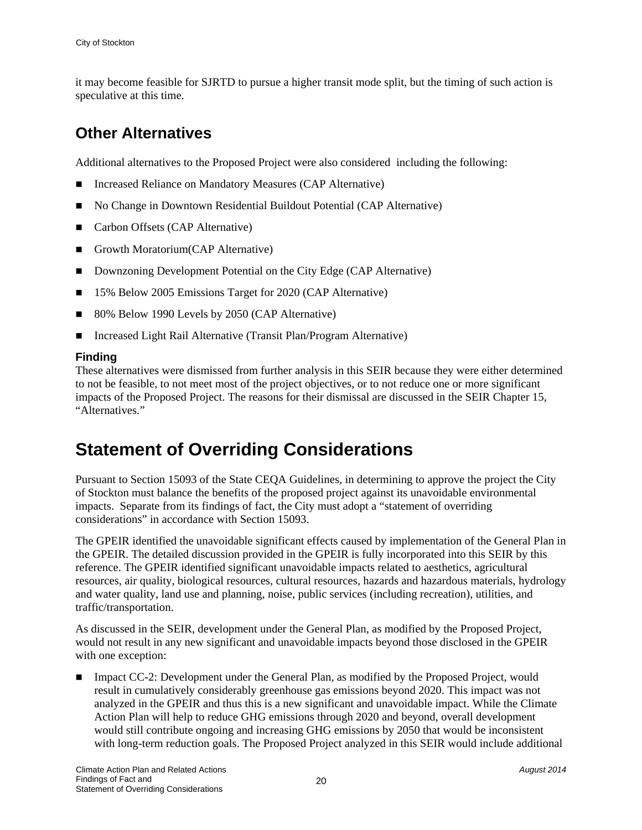it may become feasible for SJRTD to pursue a higher transit mode split, but the timing of such action is speculative at this time.

### **Other Alternatives**

Additional alternatives to the Proposed Project were also considered including the following:

- Increased Reliance on Mandatory Measures (CAP Alternative)
- No Change in Downtown Residential Buildout Potential (CAP Alternative)
- Carbon Offsets (CAP Alternative)
- Growth Moratorium (CAP Alternative)
- Downzoning Development Potential on the City Edge (CAP Alternative)
- 15% Below 2005 Emissions Target for 2020 (CAP Alternative)
- 80% Below 1990 Levels by 2050 (CAP Alternative)
- Increased Light Rail Alternative (Transit Plan/Program Alternative)

#### **Finding**

These alternatives were dismissed from further analysis in this SEIR because they were either determined to not be feasible, to not meet most of the project objectives, or to not reduce one or more significant impacts of the Proposed Project. The reasons for their dismissal are discussed in the SEIR Chapter 15, "Alternatives."

## **Statement of Overriding Considerations**

Pursuant to Section 15093 of the State CEQA Guidelines, in determining to approve the project the City of Stockton must balance the benefits of the proposed project against its unavoidable environmental impacts. Separate from its findings of fact, the City must adopt a "statement of overriding considerations" in accordance with Section 15093.

The GPEIR identified the unavoidable significant effects caused by implementation of the General Plan in the GPEIR. The detailed discussion provided in the GPEIR is fully incorporated into this SEIR by this reference. The GPEIR identified significant unavoidable impacts related to aesthetics, agricultural resources, air quality, biological resources, cultural resources, hazards and hazardous materials, hydrology and water quality, land use and planning, noise, public services (including recreation), utilities, and traffic/transportation.

As discussed in the SEIR, development under the General Plan, as modified by the Proposed Project, would not result in any new significant and unavoidable impacts beyond those disclosed in the GPEIR with one exception:

■ Impact CC-2: Development under the General Plan, as modified by the Proposed Project, would result in cumulatively considerably greenhouse gas emissions beyond 2020. This impact was not analyzed in the GPEIR and thus this is a new significant and unavoidable impact. While the Climate Action Plan will help to reduce GHG emissions through 2020 and beyond, overall development would still contribute ongoing and increasing GHG emissions by 2050 that would be inconsistent with long-term reduction goals. The Proposed Project analyzed in this SEIR would include additional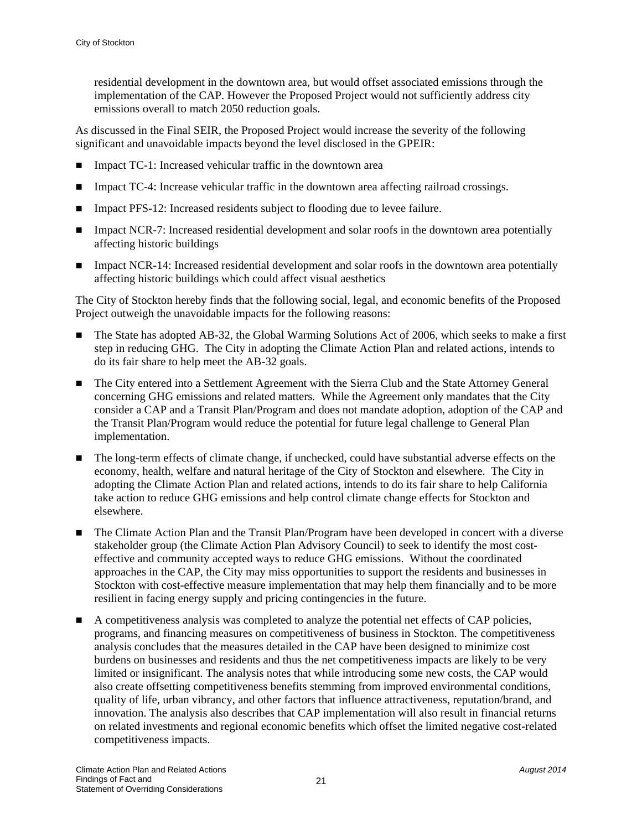residential development in the downtown area, but would offset associated emissions through the implementation of the CAP. However the Proposed Project would not sufficiently address city emissions overall to match 2050 reduction goals.

As discussed in the Final SEIR, the Proposed Project would increase the severity of the following significant and unavoidable impacts beyond the level disclosed in the GPEIR:

- Impact TC-1: Increased vehicular traffic in the downtown area
- Impact TC-4: Increase vehicular traffic in the downtown area affecting railroad crossings.
- Impact PFS-12: Increased residents subject to flooding due to levee failure.
- Impact NCR-7: Increased residential development and solar roofs in the downtown area potentially affecting historic buildings
- Impact NCR-14: Increased residential development and solar roofs in the downtown area potentially affecting historic buildings which could affect visual aesthetics

The City of Stockton hereby finds that the following social, legal, and economic benefits of the Proposed Project outweigh the unavoidable impacts for the following reasons:

- The State has adopted AB-32, the Global Warming Solutions Act of 2006, which seeks to make a first step in reducing GHG. The City in adopting the Climate Action Plan and related actions, intends to do its fair share to help meet the AB-32 goals.
- The City entered into a Settlement Agreement with the Sierra Club and the State Attorney General concerning GHG emissions and related matters. While the Agreement only mandates that the City consider a CAP and a Transit Plan/Program and does not mandate adoption, adoption of the CAP and the Transit Plan/Program would reduce the potential for future legal challenge to General Plan implementation.
- The long-term effects of climate change, if unchecked, could have substantial adverse effects on the economy, health, welfare and natural heritage of the City of Stockton and elsewhere. The City in adopting the Climate Action Plan and related actions, intends to do its fair share to help California take action to reduce GHG emissions and help control climate change effects for Stockton and elsewhere.
- The Climate Action Plan and the Transit Plan/Program have been developed in concert with a diverse stakeholder group (the Climate Action Plan Advisory Council) to seek to identify the most costeffective and community accepted ways to reduce GHG emissions. Without the coordinated approaches in the CAP, the City may miss opportunities to support the residents and businesses in Stockton with cost-effective measure implementation that may help them financially and to be more resilient in facing energy supply and pricing contingencies in the future.
- A competitiveness analysis was completed to analyze the potential net effects of CAP policies, programs, and financing measures on competitiveness of business in Stockton. The competitiveness analysis concludes that the measures detailed in the CAP have been designed to minimize cost burdens on businesses and residents and thus the net competitiveness impacts are likely to be very limited or insignificant. The analysis notes that while introducing some new costs, the CAP would also create offsetting competitiveness benefits stemming from improved environmental conditions, quality of life, urban vibrancy, and other factors that influence attractiveness, reputation/brand, and innovation. The analysis also describes that CAP implementation will also result in financial returns on related investments and regional economic benefits which offset the limited negative cost-related competitiveness impacts.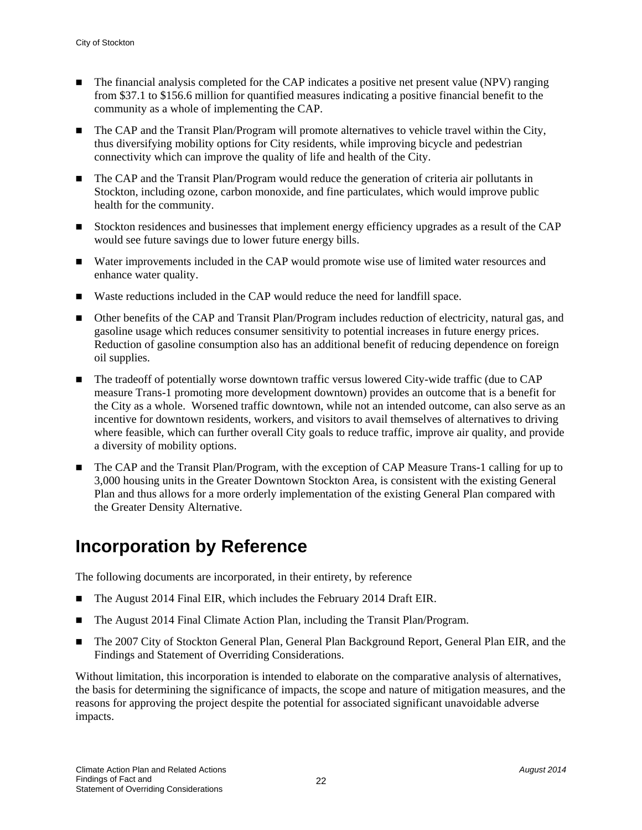- The financial analysis completed for the CAP indicates a positive net present value (NPV) ranging from \$37.1 to \$156.6 million for quantified measures indicating a positive financial benefit to the community as a whole of implementing the CAP.
- The CAP and the Transit Plan/Program will promote alternatives to vehicle travel within the City, thus diversifying mobility options for City residents, while improving bicycle and pedestrian connectivity which can improve the quality of life and health of the City.
- The CAP and the Transit Plan/Program would reduce the generation of criteria air pollutants in Stockton, including ozone, carbon monoxide, and fine particulates, which would improve public health for the community.
- Stockton residences and businesses that implement energy efficiency upgrades as a result of the CAP would see future savings due to lower future energy bills.
- Water improvements included in the CAP would promote wise use of limited water resources and enhance water quality.
- Waste reductions included in the CAP would reduce the need for landfill space.
- Other benefits of the CAP and Transit Plan/Program includes reduction of electricity, natural gas, and gasoline usage which reduces consumer sensitivity to potential increases in future energy prices. Reduction of gasoline consumption also has an additional benefit of reducing dependence on foreign oil supplies.
- The tradeoff of potentially worse downtown traffic versus lowered City-wide traffic (due to CAP measure Trans-1 promoting more development downtown) provides an outcome that is a benefit for the City as a whole. Worsened traffic downtown, while not an intended outcome, can also serve as an incentive for downtown residents, workers, and visitors to avail themselves of alternatives to driving where feasible, which can further overall City goals to reduce traffic, improve air quality, and provide a diversity of mobility options.
- The CAP and the Transit Plan/Program, with the exception of CAP Measure Trans-1 calling for up to 3,000 housing units in the Greater Downtown Stockton Area, is consistent with the existing General Plan and thus allows for a more orderly implementation of the existing General Plan compared with the Greater Density Alternative.

### **Incorporation by Reference**

The following documents are incorporated, in their entirety, by reference

- The August 2014 Final EIR, which includes the February 2014 Draft EIR.
- The August 2014 Final Climate Action Plan, including the Transit Plan/Program.
- The 2007 City of Stockton General Plan, General Plan Background Report, General Plan EIR, and the Findings and Statement of Overriding Considerations.

Without limitation, this incorporation is intended to elaborate on the comparative analysis of alternatives, the basis for determining the significance of impacts, the scope and nature of mitigation measures, and the reasons for approving the project despite the potential for associated significant unavoidable adverse impacts.